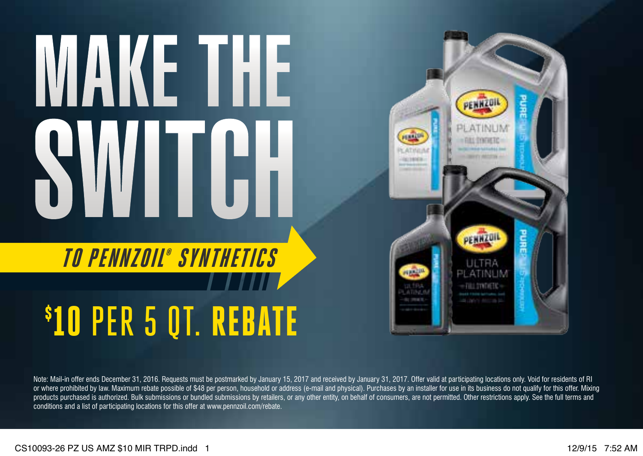## MAKE THE WITCH

## TO PENNZOIL® SYNTHETICS \$ 10 PER 5 QT. REBATE



Note: Mail-in offer ends December 31, 2016. Requests must be postmarked by January 15, 2017 and received by January 31, 2017. Offer valid at participating locations only. Void for residents of RI or where prohibited by law. Maximum rebate possible of \$48 per person, household or address (e-mail and physical). Purchases by an installer for use in its business do not qualify for this offer. Mixing products purchased is authorized. Bulk submissions or bundled submissions by retailers, or any other entity, on behalf of consumers, are not permitted. Other restrictions apply. See the full terms and conditions and a list of participating locations for this offer at www.pennzoil.com/rebate.